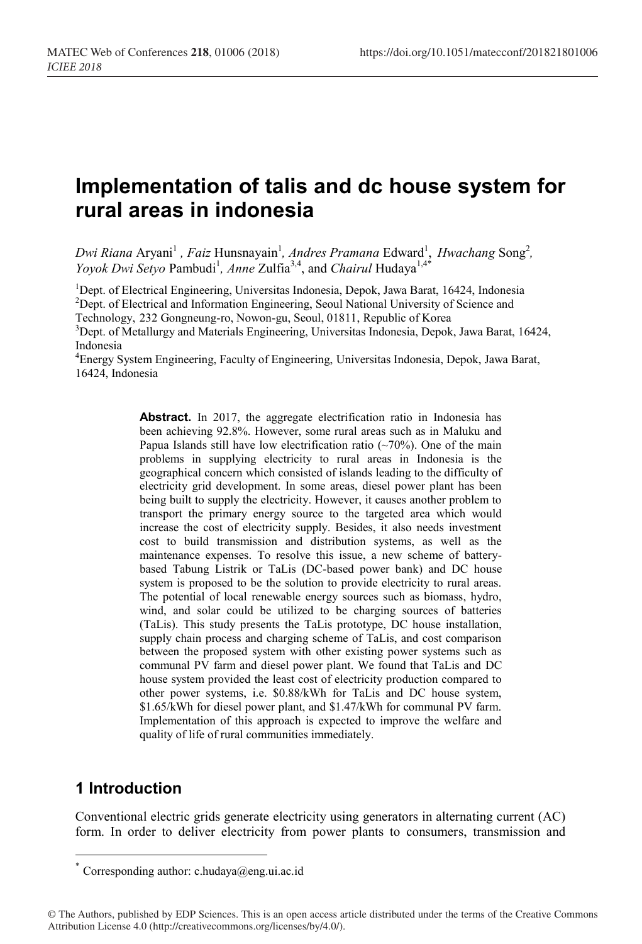# **Implementation of talis and dc house system for rural areas in indonesia**

Dwi Riana Aryani<sup>1</sup>, Faiz Hunsnayain<sup>1</sup>, Andres Pramana Edward<sup>1</sup>, *Hwachang* Song<sup>2</sup>, *Yoyok Dwi Setyo Pambudi<sup>1</sup>, Anne Zulfia*<sup>3,4</sup>, and *Chairul* Hudaya<sup>1,4\*</sup>

<sup>1</sup>Dept. of Electrical Engineering, Universitas Indonesia, Depok, Jawa Barat, 16424, Indonesia<br><sup>2</sup>Dept. of Electrical and Information Engineering, Secul National University of Science and <sup>2</sup>Dept. of Electrical and Information Engineering, Seoul National University of Science and Technology, 232 Gongneung-ro, Nowon-gu, Seoul, 01811, Republic of Korea <sup>3</sup>

 $3$ Dept. of Metallurgy and Materials Engineering, Universitas Indonesia, Depok, Jawa Barat, 16424, Indonesia

4 Energy System Engineering, Faculty of Engineering, Universitas Indonesia, Depok, Jawa Barat, 16424, Indonesia

> **Abstract.** In 2017, the aggregate electrification ratio in Indonesia has been achieving 92.8%. However, some rural areas such as in Maluku and Papua Islands still have low electrification ratio  $(\sim 70\%)$ . One of the main problems in supplying electricity to rural areas in Indonesia is the geographical concern which consisted of islands leading to the difficulty of electricity grid development. In some areas, diesel power plant has been being built to supply the electricity. However, it causes another problem to transport the primary energy source to the targeted area which would increase the cost of electricity supply. Besides, it also needs investment cost to build transmission and distribution systems, as well as the maintenance expenses. To resolve this issue, a new scheme of batterybased Tabung Listrik or TaLis (DC-based power bank) and DC house system is proposed to be the solution to provide electricity to rural areas. The potential of local renewable energy sources such as biomass, hydro, wind, and solar could be utilized to be charging sources of batteries (TaLis). This study presents the TaLis prototype, DC house installation, supply chain process and charging scheme of TaLis, and cost comparison between the proposed system with other existing power systems such as communal PV farm and diesel power plant. We found that TaLis and DC house system provided the least cost of electricity production compared to other power systems, i.e. \$0.88/kWh for TaLis and DC house system, \$1.65/kWh for diesel power plant, and \$1.47/kWh for communal PV farm. Implementation of this approach is expected to improve the welfare and quality of life of rural communities immediately.

## **1 Introduction**

Conventional electric grids generate electricity using generators in alternating current (AC) form. In order to deliver electricity from power plants to consumers, transmission and

 <sup>\*</sup> Corresponding author: c.hudaya@eng.ui.ac.id

<sup>©</sup> The Authors, published by EDP Sciences. This is an open access article distributed under the terms of the Creative Commons Attribution License 4.0 (http://creativecommons.org/licenses/by/4.0/).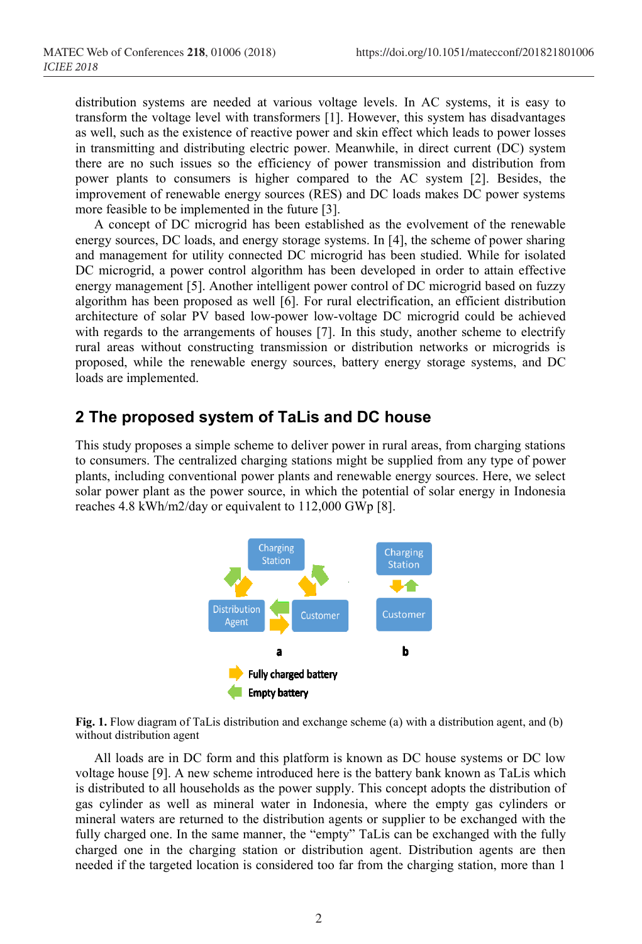distribution systems are needed at various voltage levels. In AC systems, it is easy to transform the voltage level with transformers [1]. However, this system has disadvantages as well, such as the existence of reactive power and skin effect which leads to power losses in transmitting and distributing electric power. Meanwhile, in direct current (DC) system there are no such issues so the efficiency of power transmission and distribution from power plants to consumers is higher compared to the AC system [2]. Besides, the improvement of renewable energy sources (RES) and DC loads makes DC power systems more feasible to be implemented in the future [3].

A concept of DC microgrid has been established as the evolvement of the renewable energy sources, DC loads, and energy storage systems. In [4], the scheme of power sharing and management for utility connected DC microgrid has been studied. While for isolated DC microgrid, a power control algorithm has been developed in order to attain effective energy management [5]. Another intelligent power control of DC microgrid based on fuzzy algorithm has been proposed as well [6]. For rural electrification, an efficient distribution architecture of solar PV based low-power low-voltage DC microgrid could be achieved with regards to the arrangements of houses [7]. In this study, another scheme to electrify rural areas without constructing transmission or distribution networks or microgrids is proposed, while the renewable energy sources, battery energy storage systems, and DC loads are implemented.

### **2 The proposed system of TaLis and DC house**

This study proposes a simple scheme to deliver power in rural areas, from charging stations to consumers. The centralized charging stations might be supplied from any type of power plants, including conventional power plants and renewable energy sources. Here, we select solar power plant as the power source, in which the potential of solar energy in Indonesia reaches 4.8 kWh/m2/day or equivalent to 112,000 GWp [8].



**Fig. 1.** Flow diagram of TaLis distribution and exchange scheme (a) with a distribution agent, and (b) without distribution agent

All loads are in DC form and this platform is known as DC house systems or DC low voltage house [9]. A new scheme introduced here is the battery bank known as TaLis which is distributed to all households as the power supply. This concept adopts the distribution of gas cylinder as well as mineral water in Indonesia, where the empty gas cylinders or mineral waters are returned to the distribution agents or supplier to be exchanged with the fully charged one. In the same manner, the "empty" TaLis can be exchanged with the fully charged one in the charging station or distribution agent. Distribution agents are then needed if the targeted location is considered too far from the charging station, more than 1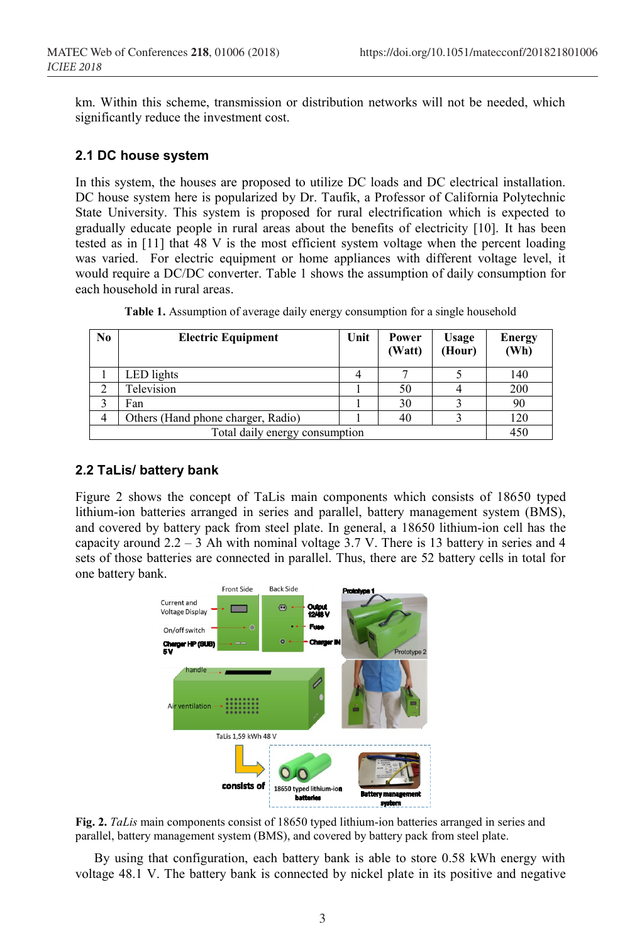km. Within this scheme, transmission or distribution networks will not be needed, which significantly reduce the investment cost.

### **2.1 DC house system**

In this system, the houses are proposed to utilize DC loads and DC electrical installation. DC house system here is popularized by Dr. Taufik, a Professor of California Polytechnic State University. This system is proposed for rural electrification which is expected to gradually educate people in rural areas about the benefits of electricity [10]. It has been tested as in [11] that 48 V is the most efficient system voltage when the percent loading was varied. For electric equipment or home appliances with different voltage level, it would require a DC/DC converter. Table 1 shows the assumption of daily consumption for each household in rural areas.

| N <sub>0</sub>                 | <b>Electric Equipment</b>          | Unit | Power<br>(Watt) | <b>Usage</b><br>(Hour) | <b>Energy</b><br>(Wh) |
|--------------------------------|------------------------------------|------|-----------------|------------------------|-----------------------|
|                                | LED lights                         |      |                 |                        | 140                   |
|                                | Television                         |      | 50              |                        | 200                   |
|                                | Fan                                |      | 30              |                        | 90                    |
| 4                              | Others (Hand phone charger, Radio) |      | 40              |                        | 120                   |
| Total daily energy consumption |                                    |      |                 |                        | 450                   |

**Table 1.** Assumption of average daily energy consumption for a single household

#### **2.2 TaLis/ battery bank**

Figure 2 shows the concept of TaLis main components which consists of 18650 typed lithium-ion batteries arranged in series and parallel, battery management system (BMS), and covered by battery pack from steel plate. In general, a 18650 lithium-ion cell has the capacity around  $2.2 - 3$  Ah with nominal voltage 3.7 V. There is 13 battery in series and 4 sets of those batteries are connected in parallel. Thus, there are 52 battery cells in total for one battery bank.



**Fig. 2.** *TaLis* main components consist of 18650 typed lithium-ion batteries arranged in series and parallel, battery management system (BMS), and covered by battery pack from steel plate.

By using that configuration, each battery bank is able to store 0.58 kWh energy with voltage 48.1 V. The battery bank is connected by nickel plate in its positive and negative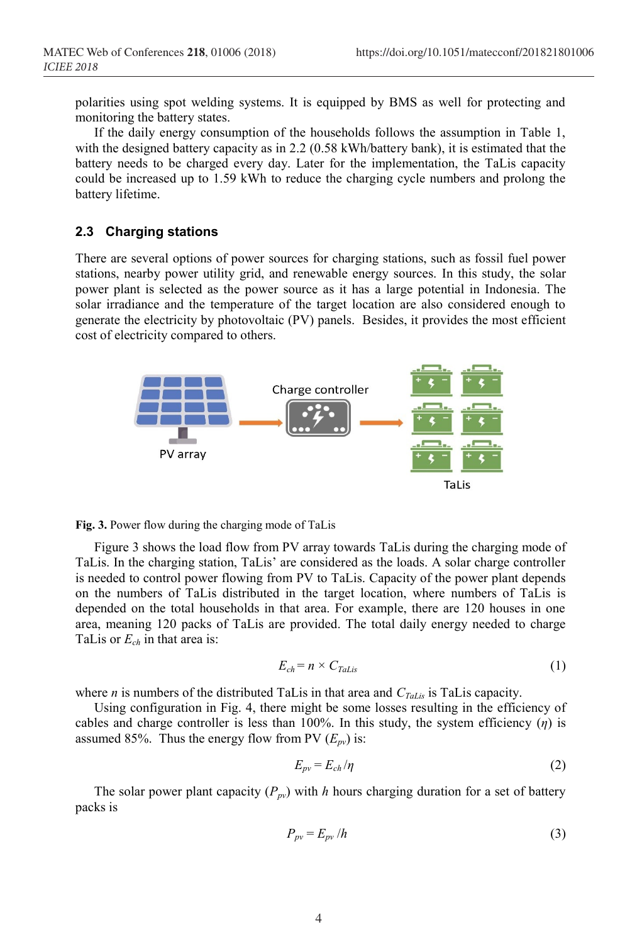polarities using spot welding systems. It is equipped by BMS as well for protecting and monitoring the battery states.

If the daily energy consumption of the households follows the assumption in Table 1, with the designed battery capacity as in 2.2 (0.58 kWh/battery bank), it is estimated that the battery needs to be charged every day. Later for the implementation, the TaLis capacity could be increased up to 1.59 kWh to reduce the charging cycle numbers and prolong the battery lifetime.

### **2.3 Charging stations**

There are several options of power sources for charging stations, such as fossil fuel power stations, nearby power utility grid, and renewable energy sources. In this study, the solar power plant is selected as the power source as it has a large potential in Indonesia. The solar irradiance and the temperature of the target location are also considered enough to generate the electricity by photovoltaic (PV) panels. Besides, it provides the most efficient cost of electricity compared to others.





Figure 3 shows the load flow from PV array towards TaLis during the charging mode of TaLis. In the charging station, TaLis' are considered as the loads. A solar charge controller is needed to control power flowing from PV to TaLis. Capacity of the power plant depends on the numbers of TaLis distributed in the target location, where numbers of TaLis is depended on the total households in that area. For example, there are 120 houses in one area, meaning 120 packs of TaLis are provided. The total daily energy needed to charge TaLis or *Ech* in that area is:

$$
E_{ch} = n \times C_{Tals} \tag{1}
$$

where *n* is numbers of the distributed TaLis in that area and  $C_{Tals}$  is TaLis capacity.

Using configuration in Fig. 4, there might be some losses resulting in the efficiency of cables and charge controller is less than  $100\%$ . In this study, the system efficiency  $(\eta)$  is assumed 85%. Thus the energy flow from PV  $(E_{pv})$  is:

$$
E_{\rho\nu} = E_{ch}/\eta \tag{2}
$$

The solar power plant capacity  $(P_{pv})$  with *h* hours charging duration for a set of battery packs is

$$
P_{pv} = E_{pv} / h \tag{3}
$$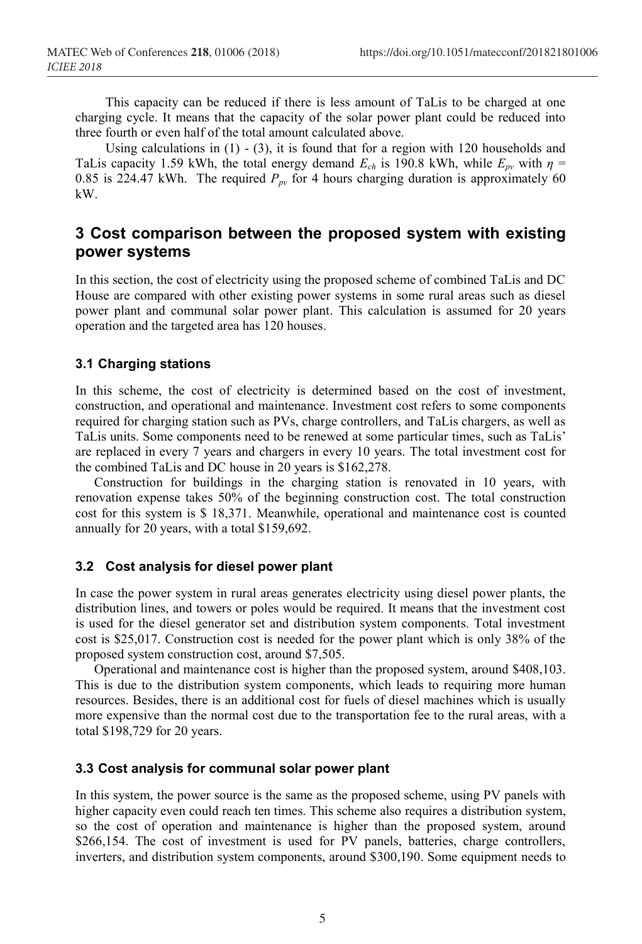This capacity can be reduced if there is less amount of TaLis to be charged at one charging cycle. It means that the capacity of the solar power plant could be reduced into three fourth or even half of the total amount calculated above.

Using calculations in (1) - (3), it is found that for a region with 120 households and TaLis capacity 1.59 kWh, the total energy demand  $E_{ch}$  is 190.8 kWh, while  $E_{pv}$  with  $\eta$  = 0.85 is 224.47 kWh. The required  $P_{pv}$  for 4 hours charging duration is approximately 60 kW.

### **3 Cost comparison between the proposed system with existing power systems**

In this section, the cost of electricity using the proposed scheme of combined TaLis and DC House are compared with other existing power systems in some rural areas such as diesel power plant and communal solar power plant. This calculation is assumed for 20 years operation and the targeted area has 120 houses.

### **3.1 Charging stations**

In this scheme, the cost of electricity is determined based on the cost of investment, construction, and operational and maintenance. Investment cost refers to some components required for charging station such as PVs, charge controllers, and TaLis chargers, as well as TaLis units. Some components need to be renewed at some particular times, such as TaLis' are replaced in every 7 years and chargers in every 10 years. The total investment cost for the combined TaLis and DC house in 20 years is \$162,278.

Construction for buildings in the charging station is renovated in 10 years, with renovation expense takes 50% of the beginning construction cost. The total construction cost for this system is \$ 18,371. Meanwhile, operational and maintenance cost is counted annually for 20 years, with a total \$159,692.

#### **3.2 Cost analysis for diesel power plant**

In case the power system in rural areas generates electricity using diesel power plants, the distribution lines, and towers or poles would be required. It means that the investment cost is used for the diesel generator set and distribution system components. Total investment cost is \$25,017. Construction cost is needed for the power plant which is only 38% of the proposed system construction cost, around \$7,505.

Operational and maintenance cost is higher than the proposed system, around \$408,103. This is due to the distribution system components, which leads to requiring more human resources. Besides, there is an additional cost for fuels of diesel machines which is usually more expensive than the normal cost due to the transportation fee to the rural areas, with a total \$198,729 for 20 years.

#### **3.3 Cost analysis for communal solar power plant**

In this system, the power source is the same as the proposed scheme, using PV panels with higher capacity even could reach ten times. This scheme also requires a distribution system, so the cost of operation and maintenance is higher than the proposed system, around \$266,154. The cost of investment is used for PV panels, batteries, charge controllers, inverters, and distribution system components, around \$300,190. Some equipment needs to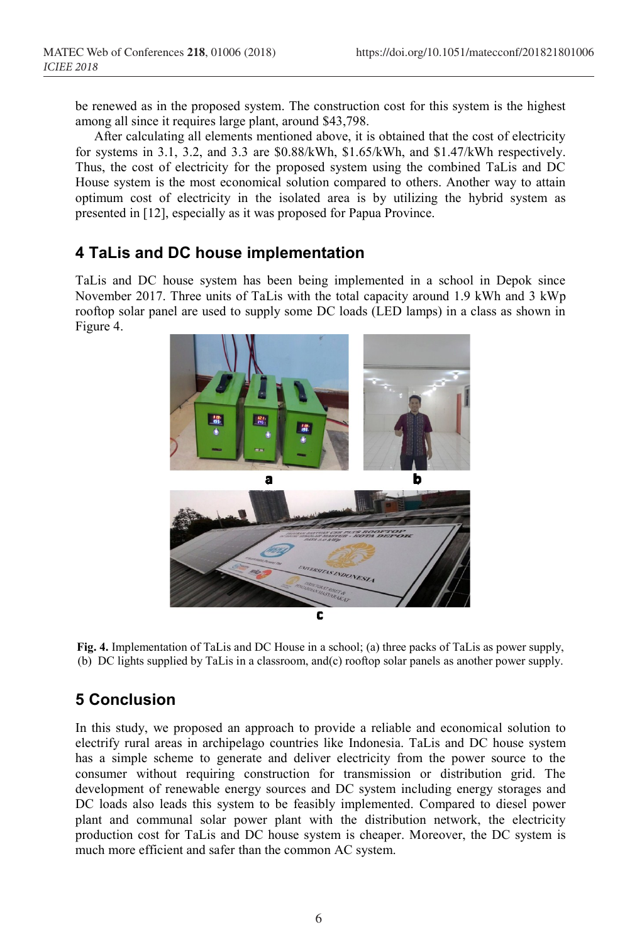be renewed as in the proposed system. The construction cost for this system is the highest among all since it requires large plant, around \$43,798.

After calculating all elements mentioned above, it is obtained that the cost of electricity for systems in 3.1, 3.2, and 3.3 are \$0.88/kWh, \$1.65/kWh, and \$1.47/kWh respectively. Thus, the cost of electricity for the proposed system using the combined TaLis and DC House system is the most economical solution compared to others. Another way to attain optimum cost of electricity in the isolated area is by utilizing the hybrid system as presented in [12], especially as it was proposed for Papua Province.

### **4 TaLis and DC house implementation**

TaLis and DC house system has been being implemented in a school in Depok since November 2017. Three units of TaLis with the total capacity around 1.9 kWh and 3 kWp rooftop solar panel are used to supply some DC loads (LED lamps) in a class as shown in Figure 4.



**Fig. 4.** Implementation of TaLis and DC House in a school; (a) three packs of TaLis as power supply, (b) DC lights supplied by TaLis in a classroom, and(c) rooftop solar panels as another power supply.

### **5 Conclusion**

In this study, we proposed an approach to provide a reliable and economical solution to electrify rural areas in archipelago countries like Indonesia. TaLis and DC house system has a simple scheme to generate and deliver electricity from the power source to the consumer without requiring construction for transmission or distribution grid. The development of renewable energy sources and DC system including energy storages and DC loads also leads this system to be feasibly implemented. Compared to diesel power plant and communal solar power plant with the distribution network, the electricity production cost for TaLis and DC house system is cheaper. Moreover, the DC system is much more efficient and safer than the common AC system.